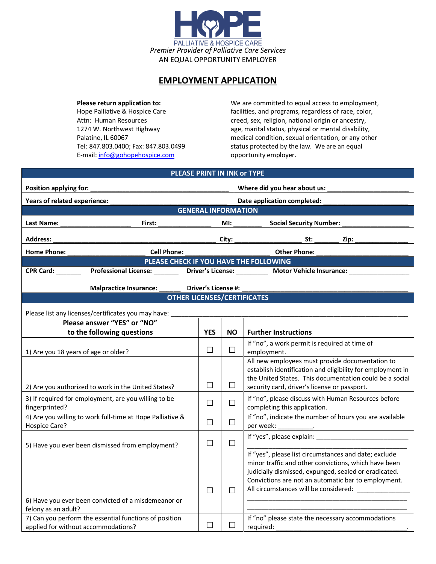

## **EMPLOYMENT APPLICATION**

E-mail: info@gohopehospice.com opportunity employer.

**Please return application to:** We are committed to equal access to employment, Hope Palliative & Hospice Care facilities, and programs, regardless of race, color, Attn: Human Resources external origin or ancestry, religion, national origin or ancestry, 1274 W. Northwest Highway age, marital status, physical or mental disability, Palatine, IL 60067 medical condition, sexual orientation, or any other Tel: 847.803.0400; Fax: 847.803.0499 status protected by the law. We are an equal

| PLEASE PRINT IN INK or TYPE                         |                                                                                                               |                     |                             |                                                                                                                                                                                                                                                                                    |  |  |  |
|-----------------------------------------------------|---------------------------------------------------------------------------------------------------------------|---------------------|-----------------------------|------------------------------------------------------------------------------------------------------------------------------------------------------------------------------------------------------------------------------------------------------------------------------------|--|--|--|
| Position applying for:                              |                                                                                                               |                     |                             | Where did you hear about us:                                                                                                                                                                                                                                                       |  |  |  |
| Years of related experience:                        |                                                                                                               |                     | Date application completed: |                                                                                                                                                                                                                                                                                    |  |  |  |
| <b>GENERAL INFORMATION</b>                          |                                                                                                               |                     |                             |                                                                                                                                                                                                                                                                                    |  |  |  |
| Last Name:                                          | First:                                                                                                        |                     |                             | <b>Social Security Number:</b><br>MI: and the same of the same of the same of the same of the same of the same of the same of the same of the same of the same of the same of the same of the same of the same of the same of the same of the same of the same o                   |  |  |  |
| <b>Address:</b>                                     |                                                                                                               |                     | City:                       | St:<br>Zip:                                                                                                                                                                                                                                                                        |  |  |  |
| <b>Home Phone:</b>                                  | <b>Cell Phone:</b>                                                                                            |                     |                             | <b>Other Phone:</b>                                                                                                                                                                                                                                                                |  |  |  |
|                                                     | PLEASE CHECK IF YOU HAVE THE FOLLOWING                                                                        |                     |                             |                                                                                                                                                                                                                                                                                    |  |  |  |
| CPR Card:                                           |                                                                                                               |                     |                             | Professional License: ___________ Driver's License: ___________ Motor Vehicle Insurance: ___                                                                                                                                                                                       |  |  |  |
|                                                     | Malpractice Insurance:                                                                                        | Driver's License #: |                             |                                                                                                                                                                                                                                                                                    |  |  |  |
| <b>OTHER LICENSES/CERTIFICATES</b>                  |                                                                                                               |                     |                             |                                                                                                                                                                                                                                                                                    |  |  |  |
| Please list any licenses/certificates you may have: |                                                                                                               |                     |                             |                                                                                                                                                                                                                                                                                    |  |  |  |
| Please answer "YES" or "NO"                         |                                                                                                               |                     |                             |                                                                                                                                                                                                                                                                                    |  |  |  |
|                                                     | to the following questions                                                                                    | <b>YES</b>          | <b>NO</b>                   | <b>Further Instructions</b>                                                                                                                                                                                                                                                        |  |  |  |
| 1) Are you 18 years of age or older?                |                                                                                                               | $\Box$              | $\Box$                      | If "no", a work permit is required at time of<br>employment.                                                                                                                                                                                                                       |  |  |  |
|                                                     | 2) Are you authorized to work in the United States?                                                           | $\Box$              | $\Box$                      | All new employees must provide documentation to<br>establish identification and eligibility for employment in<br>the United States. This documentation could be a social<br>security card, driver's license or passport.                                                           |  |  |  |
| fingerprinted?                                      | 3) If required for employment, are you willing to be                                                          | $\Box$              | $\Box$                      | If "no", please discuss with Human Resources before<br>completing this application.                                                                                                                                                                                                |  |  |  |
| Hospice Care?                                       | 4) Are you willing to work full-time at Hope Palliative &                                                     | $\Box$              | $\Box$                      | If "no", indicate the number of hours you are available                                                                                                                                                                                                                            |  |  |  |
|                                                     | 5) Have you ever been dismissed from employment?                                                              | $\Box$              | $\Box$                      |                                                                                                                                                                                                                                                                                    |  |  |  |
| felony as an adult?                                 | 6) Have you ever been convicted of a misdemeanor or<br>7) Can you perform the essential functions of position | $\Box$<br>$\Box$    | $\Box$<br>$\Box$            | If "yes", please list circumstances and date; exclude<br>minor traffic and other convictions, which have been<br>judicially dismissed, expunged, sealed or eradicated.<br>Convictions are not an automatic bar to employment.<br>If "no" please state the necessary accommodations |  |  |  |
| applied for without accommodations?                 |                                                                                                               |                     |                             | required:                                                                                                                                                                                                                                                                          |  |  |  |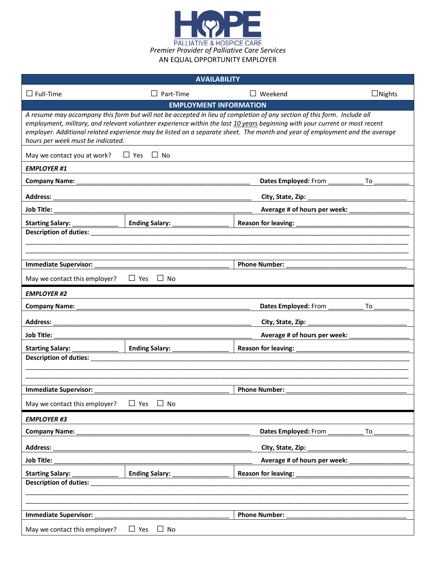

| <b>AVAILABILITY</b>                                                                                                                                                                                                                                                                                                                                                                                                         |                                                                                                                       |                                                                                                                |               |  |  |  |
|-----------------------------------------------------------------------------------------------------------------------------------------------------------------------------------------------------------------------------------------------------------------------------------------------------------------------------------------------------------------------------------------------------------------------------|-----------------------------------------------------------------------------------------------------------------------|----------------------------------------------------------------------------------------------------------------|---------------|--|--|--|
| $\Box$ Full-Time                                                                                                                                                                                                                                                                                                                                                                                                            | $\Box$ Part-Time                                                                                                      | $\Box$ Weekend                                                                                                 | $\Box$ Nights |  |  |  |
|                                                                                                                                                                                                                                                                                                                                                                                                                             | <b>EMPLOYMENT INFORMATION</b>                                                                                         |                                                                                                                |               |  |  |  |
| A resume may accompany this form but will not be accepted in lieu of completion of any section of this form. Include all<br>employment, military, and relevant volunteer experience within the last 10 years beginning with your current or most recent<br>employer. Additional related experience may be listed on a separate sheet. The month and year of employment and the average<br>hours per week must be indicated. |                                                                                                                       |                                                                                                                |               |  |  |  |
| $\Box$ Yes $\Box$ No<br>May we contact you at work?                                                                                                                                                                                                                                                                                                                                                                         |                                                                                                                       |                                                                                                                |               |  |  |  |
| <b>EMPLOYER #1</b>                                                                                                                                                                                                                                                                                                                                                                                                          |                                                                                                                       |                                                                                                                |               |  |  |  |
| <b>Company Name:</b>                                                                                                                                                                                                                                                                                                                                                                                                        |                                                                                                                       | Dates Employed: From _________                                                                                 | To            |  |  |  |
| <b>Address:</b>                                                                                                                                                                                                                                                                                                                                                                                                             |                                                                                                                       | City, State, Zip: _                                                                                            |               |  |  |  |
| <b>Job Title:</b>                                                                                                                                                                                                                                                                                                                                                                                                           |                                                                                                                       | Average # of hours per week:                                                                                   |               |  |  |  |
| Starting Salary: _                                                                                                                                                                                                                                                                                                                                                                                                          | Ending Salary: ____________                                                                                           | Reason for leaving: Note that the set of the set of the set of the set of the set of the set of the set of the |               |  |  |  |
|                                                                                                                                                                                                                                                                                                                                                                                                                             |                                                                                                                       |                                                                                                                |               |  |  |  |
|                                                                                                                                                                                                                                                                                                                                                                                                                             |                                                                                                                       |                                                                                                                |               |  |  |  |
| <b>Immediate Supervisor:</b>                                                                                                                                                                                                                                                                                                                                                                                                |                                                                                                                       | <b>Phone Number:</b>                                                                                           |               |  |  |  |
| May we contact this employer?                                                                                                                                                                                                                                                                                                                                                                                               | $\Box$ Yes $\Box$ No                                                                                                  |                                                                                                                |               |  |  |  |
| <b>EMPLOYER #2</b>                                                                                                                                                                                                                                                                                                                                                                                                          |                                                                                                                       |                                                                                                                |               |  |  |  |
| <b>Company Name:</b>                                                                                                                                                                                                                                                                                                                                                                                                        | <u> 1989 - Johann Harry Harry Harry Harry Harry Harry Harry Harry Harry Harry Harry Harry Harry Harry Harry Harry</u> | Dates Employed: From                                                                                           | To            |  |  |  |
| <b>Address:</b>                                                                                                                                                                                                                                                                                                                                                                                                             |                                                                                                                       | City, State, Zip:                                                                                              |               |  |  |  |
| <b>Job Title:</b>                                                                                                                                                                                                                                                                                                                                                                                                           |                                                                                                                       | Average # of hours per week:                                                                                   |               |  |  |  |
| <b>Starting Salary:</b>                                                                                                                                                                                                                                                                                                                                                                                                     | Ending Salary: __________                                                                                             | Reason for leaving:                                                                                            |               |  |  |  |
| Description of duties:                                                                                                                                                                                                                                                                                                                                                                                                      |                                                                                                                       |                                                                                                                |               |  |  |  |
|                                                                                                                                                                                                                                                                                                                                                                                                                             |                                                                                                                       |                                                                                                                |               |  |  |  |
| <b>Immediate Supervisor:</b>                                                                                                                                                                                                                                                                                                                                                                                                |                                                                                                                       | <b>Phone Number:</b>                                                                                           |               |  |  |  |
| $\Box$ Yes<br>May we contact this employer?<br>$\Box$ No                                                                                                                                                                                                                                                                                                                                                                    |                                                                                                                       |                                                                                                                |               |  |  |  |
| <b>EMPLOYER #3</b>                                                                                                                                                                                                                                                                                                                                                                                                          |                                                                                                                       |                                                                                                                |               |  |  |  |
| <b>Company Name:</b>                                                                                                                                                                                                                                                                                                                                                                                                        |                                                                                                                       | Dates Employed: From                                                                                           | To            |  |  |  |
| <b>Address:</b>                                                                                                                                                                                                                                                                                                                                                                                                             |                                                                                                                       | City, State, Zip:                                                                                              |               |  |  |  |
| Average # of hours per week:<br><b>Job Title:</b>                                                                                                                                                                                                                                                                                                                                                                           |                                                                                                                       |                                                                                                                |               |  |  |  |
| <b>Starting Salary:</b>                                                                                                                                                                                                                                                                                                                                                                                                     | Ending Salary: __                                                                                                     | <b>Reason for leaving:</b>                                                                                     |               |  |  |  |
| Description of duties:                                                                                                                                                                                                                                                                                                                                                                                                      |                                                                                                                       |                                                                                                                |               |  |  |  |
|                                                                                                                                                                                                                                                                                                                                                                                                                             |                                                                                                                       |                                                                                                                |               |  |  |  |
| <b>Immediate Supervisor:</b>                                                                                                                                                                                                                                                                                                                                                                                                |                                                                                                                       | <b>Phone Number:</b>                                                                                           |               |  |  |  |
| $\Box$ Yes $\Box$ No<br>May we contact this employer?                                                                                                                                                                                                                                                                                                                                                                       |                                                                                                                       |                                                                                                                |               |  |  |  |